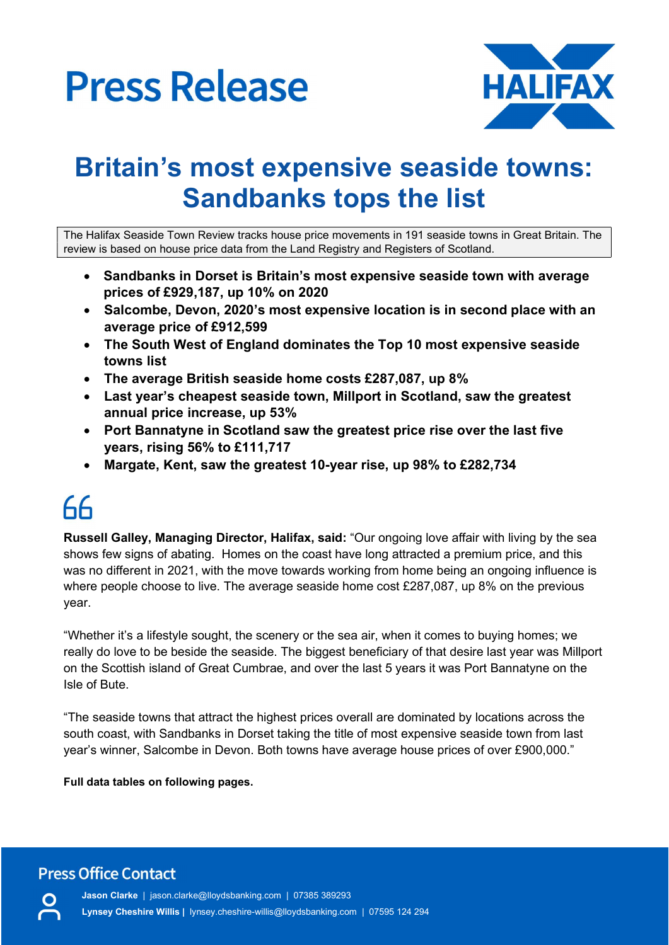

## Britain's most expensive seaside towns: Sandbanks tops the list

The Halifax Seaside Town Review tracks house price movements in 191 seaside towns in Great Britain. The review is based on house price data from the Land Registry and Registers of Scotland.

- Sandbanks in Dorset is Britain's most expensive seaside town with average prices of £929,187, up 10% on 2020
- Salcombe, Devon, 2020's most expensive location is in second place with an average price of £912,599
- The South West of England dominates the Top 10 most expensive seaside towns list
- The average British seaside home costs £287,087, up 8%
- Last year's cheapest seaside town, Millport in Scotland, saw the greatest annual price increase, up 53%
- Port Bannatyne in Scotland saw the greatest price rise over the last five years, rising 56% to £111,717
- Margate, Kent, saw the greatest 10-year rise, up 98% to £282,734

# $66$

Russell Galley, Managing Director, Halifax, said: "Our ongoing love affair with living by the sea shows few signs of abating. Homes on the coast have long attracted a premium price, and this was no different in 2021, with the move towards working from home being an ongoing influence is where people choose to live. The average seaside home cost £287,087, up 8% on the previous year.

"Whether it's a lifestyle sought, the scenery or the sea air, when it comes to buying homes; we really do love to be beside the seaside. The biggest beneficiary of that desire last year was Millport on the Scottish island of Great Cumbrae, and over the last 5 years it was Port Bannatyne on the Isle of Bute.

"The seaside towns that attract the highest prices overall are dominated by locations across the south coast, with Sandbanks in Dorset taking the title of most expensive seaside town from last year's winner, Salcombe in Devon. Both towns have average house prices of over £900,000."

Full data tables on following pages.

**Press Office Contact** 

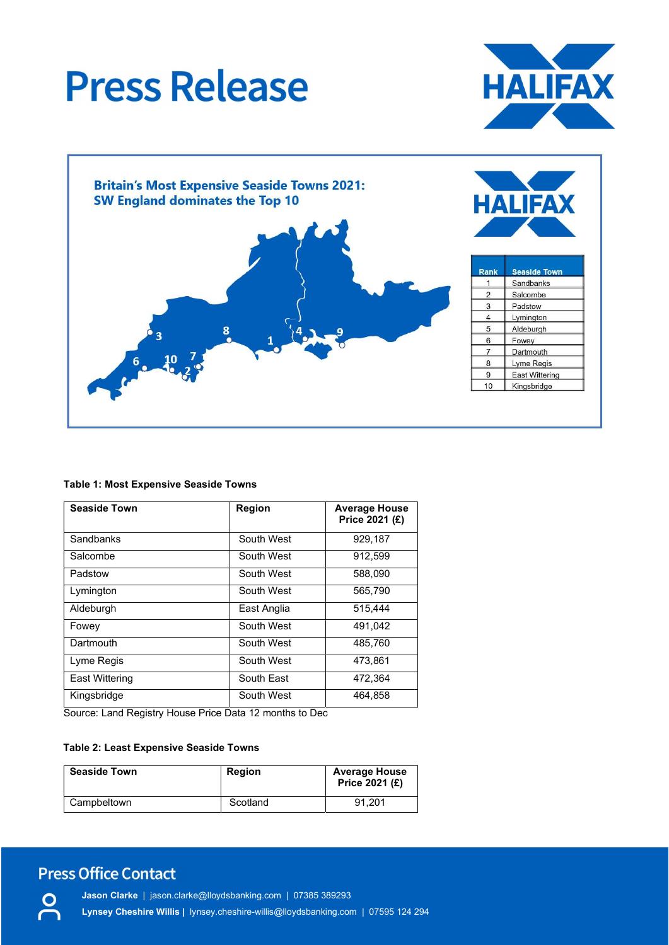



### Table 1: Most Expensive Seaside Towns

| <b>Seaside Town</b> | <b>Region</b> | <b>Average House</b><br>Price 2021 (£) |  |
|---------------------|---------------|----------------------------------------|--|
| Sandbanks           | South West    | 929,187                                |  |
| Salcombe            | South West    | 912,599                                |  |
| Padstow             | South West    | 588,090                                |  |
| Lymington           | South West    | 565,790                                |  |
| Aldeburgh           | East Anglia   | 515,444                                |  |
| Fowey               | South West    | 491.042                                |  |
| Dartmouth           | South West    | 485,760                                |  |
| Lyme Regis          | South West    | 473,861                                |  |
| East Wittering      | South East    | 472,364                                |  |
| Kingsbridge         | South West    | 464,858                                |  |

Source: Land Registry House Price Data 12 months to Dec

### Table 2: Least Expensive Seaside Towns

| <b>Seaside Town</b> | <b>Region</b> | <b>Average House</b><br>Price 2021 (£) |
|---------------------|---------------|----------------------------------------|
| Campbeltown         | Scotland      | 91.201                                 |

## **Press Office Contact**

Jason Clarke | jason.clarke@lloydsbanking.com | 07385 389293 Lynsey Cheshire Willis | lynsey.cheshire-willis@lloydsbanking.com | 07595 124 294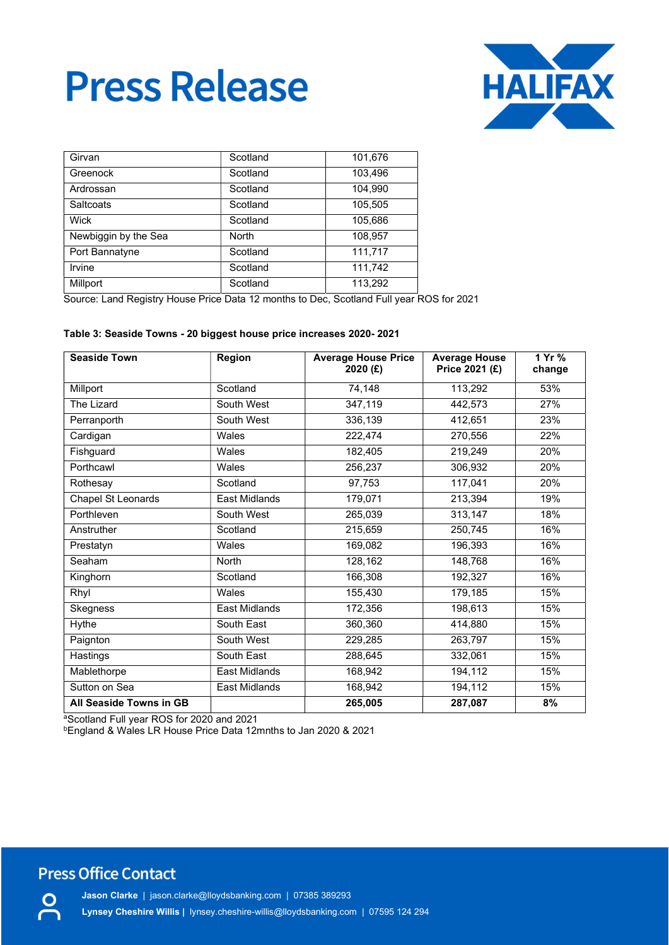

| Girvan               | Scotland     | 101,676 |
|----------------------|--------------|---------|
| Greenock             | Scotland     | 103,496 |
| Ardrossan            | Scotland     | 104.990 |
| Saltcoats            | Scotland     | 105.505 |
| Wick                 | Scotland     | 105,686 |
| Newbiggin by the Sea | <b>North</b> | 108.957 |
| Port Bannatyne       | Scotland     | 111,717 |
| Irvine               | Scotland     | 111,742 |
| Millport             | Scotland     | 113,292 |

Source: Land Registry House Price Data 12 months to Dec, Scotland Full year ROS for 2021

#### Table 3: Seaside Towns - 20 biggest house price increases 2020- 2021

| <b>Seaside Town</b>     | Region               | <b>Average House Price</b><br>2020 (£) | <b>Average House</b><br>Price 2021 (£) | 1 Yr %<br>change |
|-------------------------|----------------------|----------------------------------------|----------------------------------------|------------------|
| Millport                | Scotland             | 74,148                                 | 113,292                                | 53%              |
| The Lizard              | South West           | 347,119                                | 442,573                                | 27%              |
| Perranporth             | South West           | 336,139                                | 412,651                                | 23%              |
| Cardigan                | Wales                | 222,474                                | 270,556                                | 22%              |
| Fishguard               | Wales                | 182,405                                | 219,249                                | 20%              |
| Porthcawl               | Wales                | 256,237                                | 306,932                                | 20%              |
| Rothesay                | Scotland             | 97,753                                 | 117,041                                | 20%              |
| Chapel St Leonards      | <b>East Midlands</b> | 179,071                                | 213,394                                | 19%              |
| Porthleven              | South West           | 265,039                                | 313,147                                | 18%              |
| Anstruther              | Scotland             | 215,659                                | 250,745                                | 16%              |
| Prestatyn               | Wales                | 169,082                                | 196,393                                | 16%              |
| Seaham                  | <b>North</b>         | 128,162                                | 148,768                                | 16%              |
| Kinghorn                | Scotland             | 166,308                                | 192,327                                | 16%              |
| Rhyl                    | Wales                | 155,430                                | 179,185                                | 15%              |
| Skegness                | East Midlands        | 172,356                                | 198,613                                | 15%              |
| Hythe                   | South East           | 360,360                                | 414,880                                | 15%              |
| Paignton                | South West           | 229,285                                | 263,797                                | 15%              |
| Hastings                | South East           | 288,645                                | 332,061                                | 15%              |
| Mablethorpe             | East Midlands        | 168,942                                | 194,112                                | 15%              |
| Sutton on Sea           | East Midlands        | 168,942                                | 194,112                                | 15%              |
| All Seaside Towns in GB |                      | 265,005                                | 287,087                                | 8%               |

aScotland Full year ROS for 2020 and 2021

<sup>b</sup>England & Wales LR House Price Data 12mnths to Jan 2020 & 2021

### **Press Office Contact**

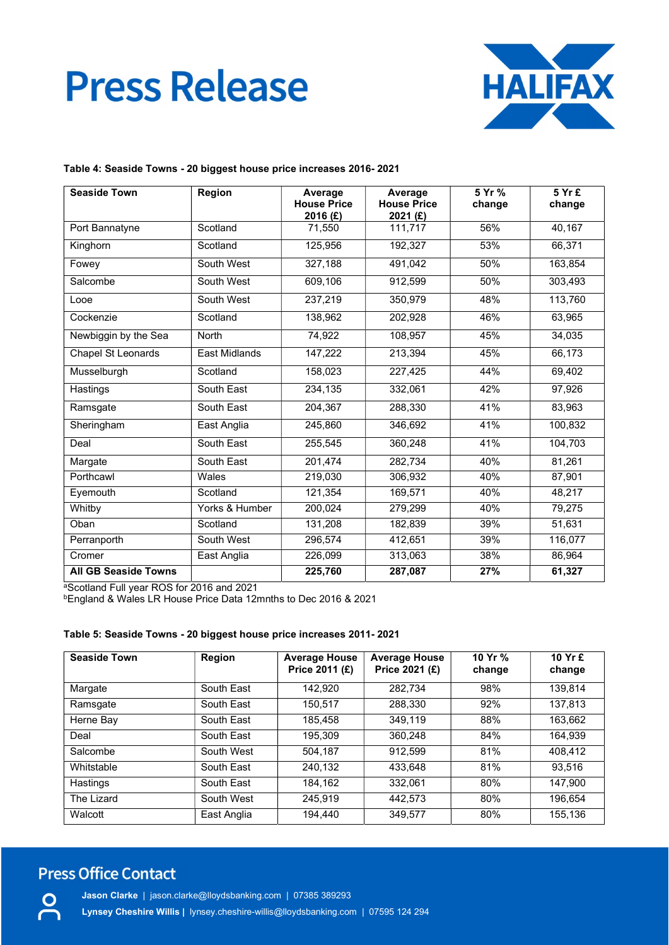

#### Table 4: Seaside Towns - 20 biggest house price increases 2016- 2021

| <b>Seaside Town</b>         | Region               | Average<br><b>House Price</b><br>2016 (£) | Average<br><b>House Price</b><br>2021 (£) | 5 Yr %<br>change | 5 Yr £<br>change |
|-----------------------------|----------------------|-------------------------------------------|-------------------------------------------|------------------|------------------|
| Port Bannatyne              | Scotland             | 71.550                                    | 111,717                                   | 56%              | 40,167           |
| Kinghorn                    | Scotland             | 125,956                                   | 192,327                                   | 53%              | 66,371           |
| Fowey                       | South West           | 327,188                                   | 491,042                                   | 50%              | 163,854          |
| Salcombe                    | South West           | 609,106                                   | 912,599                                   | 50%              | 303,493          |
| Looe                        | South West           | 237,219                                   | 350,979                                   | 48%              | 113,760          |
| Cockenzie                   | Scotland             | 138,962                                   | 202,928                                   | 46%              | 63,965           |
| Newbiggin by the Sea        | North                | 74,922                                    | 108,957                                   | 45%              | 34,035           |
| <b>Chapel St Leonards</b>   | <b>East Midlands</b> | 147,222                                   | 213,394                                   | 45%              | 66,173           |
| Musselburgh                 | Scotland             | 158,023                                   | 227,425                                   | 44%              | 69,402           |
| Hastings                    | South East           | 234,135                                   | 332,061                                   | 42%              | 97,926           |
| Ramsgate                    | South East           | 204,367                                   | 288,330                                   | 41%              | 83,963           |
| Sheringham                  | East Anglia          | 245,860                                   | 346,692                                   | 41%              | 100,832          |
| Deal                        | South East           | 255,545                                   | 360,248                                   | 41%              | 104,703          |
| Margate                     | South East           | 201,474                                   | 282,734                                   | 40%              | 81,261           |
| Porthcawl                   | Wales                | 219,030                                   | 306,932                                   | 40%              | 87,901           |
| Eyemouth                    | Scotland             | 121.354                                   | 169,571                                   | 40%              | 48.217           |
| Whitby                      | Yorks & Humber       | 200,024                                   | 279,299                                   | 40%              | 79,275           |
| Oban                        | Scotland             | 131,208                                   | 182,839                                   | 39%              | 51,631           |
| Perranporth                 | South West           | 296,574                                   | 412,651                                   | 39%              | 116,077          |
| Cromer                      | East Anglia          | 226,099                                   | 313,063                                   | 38%              | 86,964           |
| <b>All GB Seaside Towns</b> |                      | 225,760                                   | 287,087                                   | 27%              | 61,327           |

<sup>a</sup>Scotland Full year ROS for 2016 and 2021

<sup>b</sup>England & Wales LR House Price Data 12mnths to Dec 2016 & 2021

### Table 5: Seaside Towns - 20 biggest house price increases 2011- 2021

| <b>Seaside Town</b> | Region      | <b>Average House</b><br>Price 2011 (£) | <b>Average House</b><br>Price 2021 (£) | 10 Yr %<br>change | 10 Yr £<br>change |
|---------------------|-------------|----------------------------------------|----------------------------------------|-------------------|-------------------|
| Margate             | South East  | 142.920                                | 282.734                                | 98%               | 139.814           |
| Ramsgate            | South East  | 150.517                                | 288,330                                | 92%               | 137,813           |
| Herne Bay           | South East  | 185.458                                | 349.119                                | 88%               | 163.662           |
| Deal                | South East  | 195.309                                | 360.248                                | 84%               | 164.939           |
| Salcombe            | South West  | 504.187                                | 912.599                                | 81%               | 408,412           |
| Whitstable          | South East  | 240.132                                | 433.648                                | 81%               | 93.516            |
| Hastings            | South East  | 184.162                                | 332.061                                | 80%               | 147.900           |
| The Lizard          | South West  | 245.919                                | 442.573                                | 80%               | 196.654           |
| Walcott             | East Anglia | 194.440                                | 349,577                                | 80%               | 155,136           |

### **Press Office Contact**